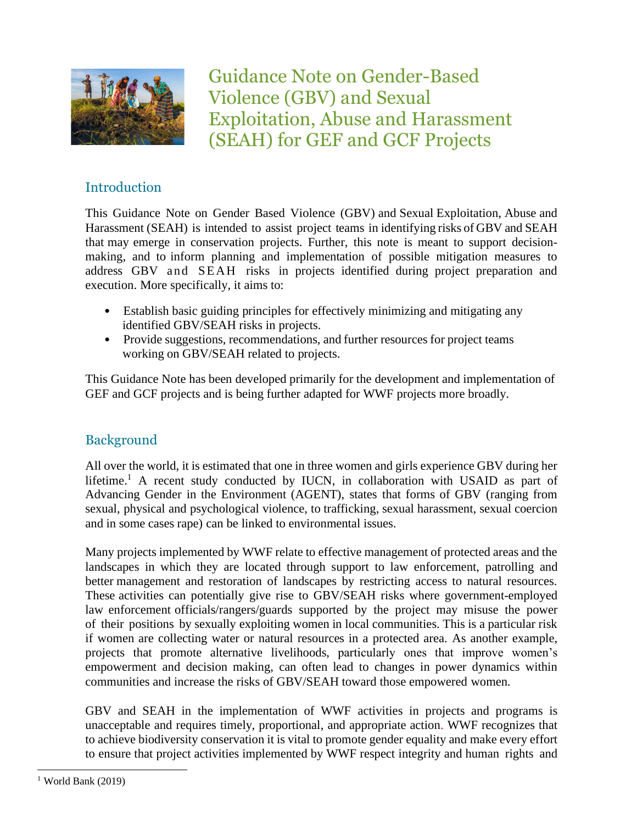

Guidance Note on Gender-Based Violence (GBV) and Sexual Exploitation, Abuse and Harassment (SEAH) for GEF and GCF Projects

# Introduction

This Guidance Note on Gender Based Violence (GBV) and Sexual Exploitation, Abuse and Harassment (SEAH) is intended to assist project teams in identifying risks of GBV and SEAH that may emerge in conservation projects. Further, this note is meant to support decisionmaking, and to inform planning and implementation of possible mitigation measures to address GBV and SEAH risks in projects identified during project preparation and execution. More specifically, it aims to:

- Establish basic guiding principles for effectively minimizing and mitigating any identified GBV/SEAH risks in projects.
- Provide suggestions, recommendations, and further resources for project teams working on GBV/SEAH related to projects.

This Guidance Note has been developed primarily for the development and implementation of GEF and GCF projects and is being further adapted for WWF projects more broadly.

## Background

All over the world, it is estimated that one in three women and girls experience GBV during her lifetime.<sup>1</sup> A recent study conducted by IUCN, in collaboration with USAID as part of Advancing Gender in the Environment (AGENT), states that forms of GBV (ranging from sexual, physical and psychological violence, to trafficking, sexual harassment, sexual coercion and in some cases rape) can be linked to environmental issues.

Many projects implemented by WWF relate to effective management of protected areas and the landscapes in which they are located through support to law enforcement, patrolling and better management and restoration of landscapes by restricting access to natural resources. These activities can potentially give rise to GBV/SEAH risks where government-employed law enforcement officials/rangers/guards supported by the project may misuse the power of their positions by sexually exploiting women in local communities. This is a particular risk if women are collecting water or natural resources in a protected area. As another example, projects that promote alternative livelihoods, particularly ones that improve women's empowerment and decision making, can often lead to changes in power dynamics within communities and increase the risks of GBV/SEAH toward those empowered women.

GBV and SEAH in the implementation of WWF activities in projects and programs is unacceptable and requires timely, proportional, and appropriate action. WWF recognizes that to achieve biodiversity conservation it is vital to promote gender equality and make every effort to ensure that project activities implemented by WWF respect integrity and human rights and

 $1$  World Bank (2019)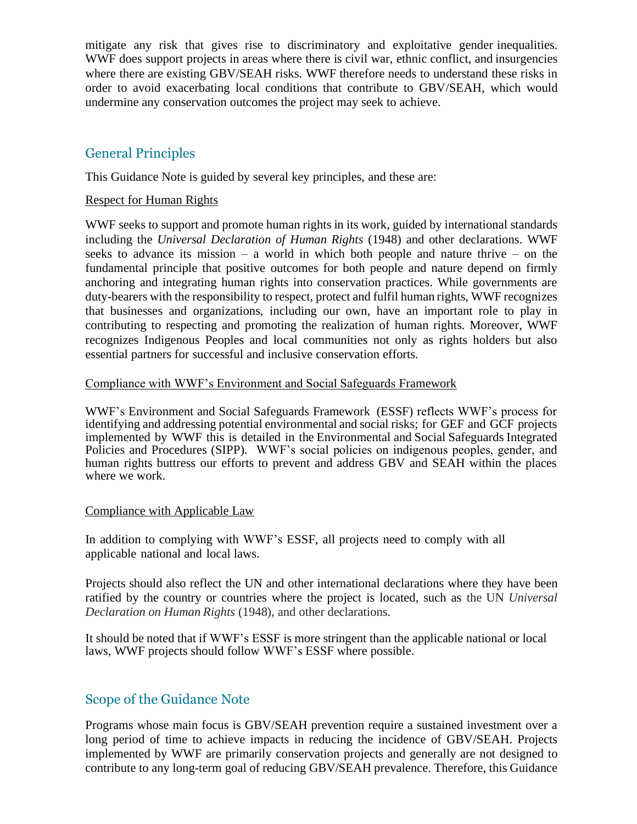mitigate any risk that gives rise to discriminatory and exploitative gender inequalities. WWF does support projects in areas where there is civil war, ethnic conflict, and insurgencies where there are existing GBV/SEAH risks. WWF therefore needs to understand these risks in order to avoid exacerbating local conditions that contribute to GBV/SEAH, which would undermine any conservation outcomes the project may seek to achieve.

### General Principles

This Guidance Note is guided by several key principles, and these are:

#### Respect for Human Rights

WWF seeks to support and promote human rights in its work, guided by international standards including the *Universal Declaration of Human Rights* (1948) and other declarations. WWF seeks to advance its mission – a world in which both people and nature thrive – on the fundamental principle that positive outcomes for both people and nature depend on firmly anchoring and integrating human rights into conservation practices. While governments are duty-bearers with the responsibility to respect, protect and fulfil human rights, WWF recognizes that businesses and organizations, including our own, have an important role to play in contributing to respecting and promoting the realization of human rights. Moreover, WWF recognizes Indigenous Peoples and local communities not only as rights holders but also essential partners for successful and inclusive conservation efforts.

#### Compliance with WWF's Environment and Social Safeguards Framework

WWF's Environment and Social Safeguards Framework (ESSF) reflects WWF's process for identifying and addressing potential environmental and social risks; for GEF and GCF projects implemented by WWF this is detailed in the Environmental and Social Safeguards Integrated Policies and Procedures (SIPP). WWF's social policies on indigenous peoples, gender, and human rights buttress our efforts to prevent and address GBV and SEAH within the places where we work.

#### Compliance with Applicable Law

In addition to complying with WWF's ESSF, all projects need to comply with all applicable national and local laws.

Projects should also reflect the UN and other international declarations where they have been ratified by the country or countries where the project is located, such as the UN *Universal Declaration on Human Rights* (1948), and other declarations.

It should be noted that if WWF's ESSF is more stringent than the applicable national or local laws, WWF projects should follow WWF's ESSF where possible.

### Scope of the Guidance Note

Programs whose main focus is GBV/SEAH prevention require a sustained investment over a long period of time to achieve impacts in reducing the incidence of GBV/SEAH. Projects implemented by WWF are primarily conservation projects and generally are not designed to contribute to any long-term goal of reducing GBV/SEAH prevalence. Therefore, this Guidance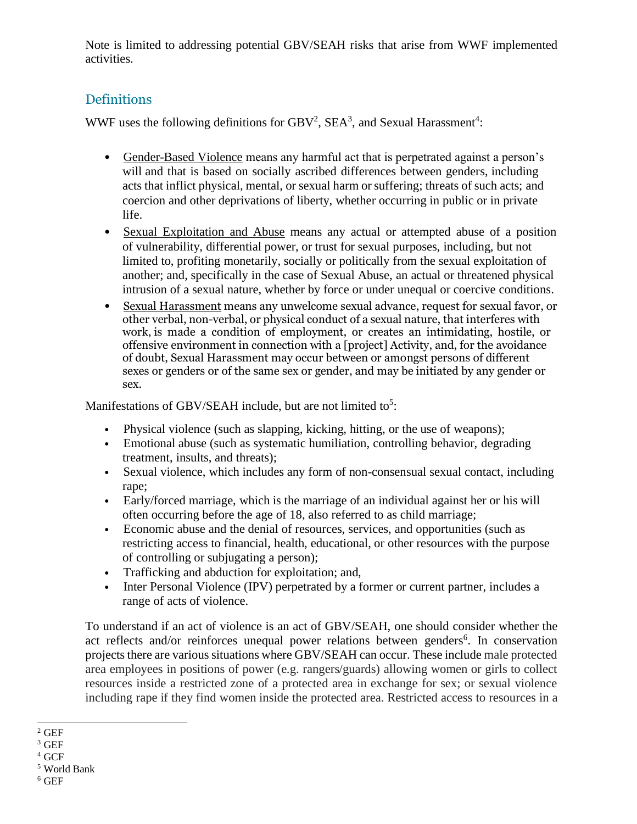Note is limited to addressing potential GBV/SEAH risks that arise from WWF implemented activities.

# Definitions

WWF uses the following definitions for  $GBV^2$ ,  $SEA^3$ , and Sexual Harassment<sup>4</sup>:

- Gender-Based Violence means any harmful act that is perpetrated against a person's will and that is based on socially ascribed differences between genders, including acts that inflict physical, mental, or sexual harm orsuffering; threats of such acts; and coercion and other deprivations of liberty, whether occurring in public or in private life.
- Sexual Exploitation and Abuse means any actual or attempted abuse of a position of vulnerability, differential power, or trust for sexual purposes, including, but not limited to, profiting monetarily, socially or politically from the sexual exploitation of another; and, specifically in the case of Sexual Abuse, an actual or threatened physical intrusion of a sexual nature, whether by force or under unequal or coercive conditions.
- Sexual Harassment means any unwelcome sexual advance, request for sexual favor, or other verbal, non-verbal, or physical conduct of a sexual nature, that interferes with work, is made a condition of employment, or creates an intimidating, hostile, or offensive environment in connection with a [project] Activity, and, for the avoidance of doubt, Sexual Harassment may occur between or amongst persons of different sexes or genders or of the same sex or gender, and may be initiated by any gender or sex.

Manifestations of GBV/SEAH include, but are not limited to<sup>5</sup>:

- Physical violence (such as slapping, kicking, hitting, or the use of weapons);
- Emotional abuse (such as systematic humiliation, controlling behavior, degrading treatment, insults, and threats);
- Sexual violence, which includes any form of non-consensual sexual contact, including rape;
- Early/forced marriage, which is the marriage of an individual against her or his will often occurring before the age of 18, also referred to as child marriage;
- Economic abuse and the denial of resources, services, and opportunities (such as restricting access to financial, health, educational, or other resources with the purpose of controlling or subjugating a person);
- Trafficking and abduction for exploitation; and,
- Inter Personal Violence (IPV) perpetrated by a former or current partner, includes a range of acts of violence.

To understand if an act of violence is an act of GBV/SEAH, one should consider whether the act reflects and/or reinforces unequal power relations between genders<sup>6</sup>. In conservation projects there are various situations where GBV/SEAH can occur. These include male protected area employees in positions of power (e.g. rangers/guards) allowing women or girls to collect resources inside a restricted zone of a protected area in exchange for sex; or sexual violence including rape if they find women inside the protected area. Restricted access to resources in a

 $^2$  GEF

 $3$  GEF

<sup>4</sup> GCF

<sup>5</sup> World Bank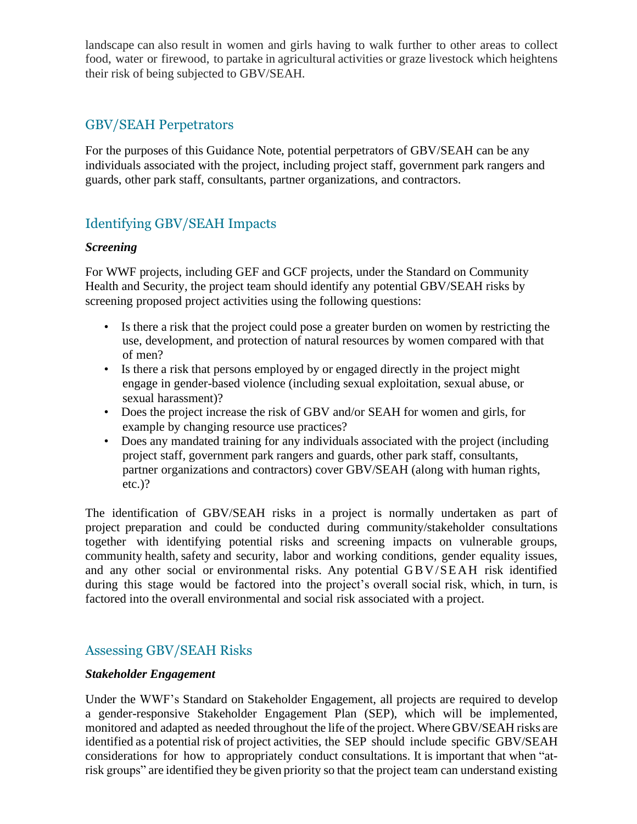landscape can also result in women and girls having to walk further to other areas to collect food, water or firewood, to partake in agricultural activities or graze livestock which heightens their risk of being subjected to GBV/SEAH.

## GBV/SEAH Perpetrators

For the purposes of this Guidance Note, potential perpetrators of GBV/SEAH can be any individuals associated with the project, including project staff, government park rangers and guards, other park staff, consultants, partner organizations, and contractors.

# Identifying GBV/SEAH Impacts

#### *Screening*

For WWF projects, including GEF and GCF projects, under the Standard on Community Health and Security, the project team should identify any potential GBV/SEAH risks by screening proposed project activities using the following questions:

- Is there a risk that the project could pose a greater burden on women by restricting the use, development, and protection of natural resources by women compared with that of men?
- Is there a risk that persons employed by or engaged directly in the project might engage in gender-based violence (including sexual exploitation, sexual abuse, or sexual harassment)?
- Does the project increase the risk of GBV and/or SEAH for women and girls, for example by changing resource use practices?
- Does any mandated training for any individuals associated with the project (including project staff, government park rangers and guards, other park staff, consultants, partner organizations and contractors) cover GBV/SEAH (along with human rights, etc.)?

The identification of GBV/SEAH risks in a project is normally undertaken as part of project preparation and could be conducted during community/stakeholder consultations together with identifying potential risks and screening impacts on vulnerable groups, community health, safety and security, labor and working conditions, gender equality issues, and any other social or environmental risks. Any potential GB V/SE AH risk identified during this stage would be factored into the project's overall social risk, which, in turn, is factored into the overall environmental and social risk associated with a project.

## Assessing GBV/SEAH Risks

#### *Stakeholder Engagement*

Under the WWF's Standard on Stakeholder Engagement, all projects are required to develop a gender-responsive Stakeholder Engagement Plan (SEP), which will be implemented, monitored and adapted as needed throughout the life of the project. Where GBV/SEAH risks are identified as a potential risk of project activities, the SEP should include specific GBV/SEAH considerations for how to appropriately conduct consultations. It is important that when "atrisk groups" are identified they be given priority so that the project team can understand existing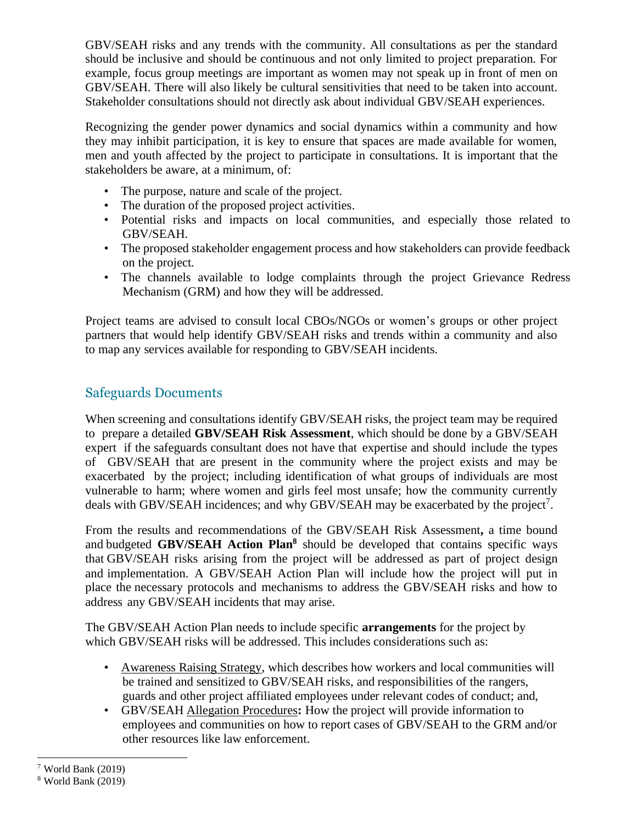GBV/SEAH risks and any trends with the community. All consultations as per the standard should be inclusive and should be continuous and not only limited to project preparation. For example, focus group meetings are important as women may not speak up in front of men on GBV/SEAH. There will also likely be cultural sensitivities that need to be taken into account. Stakeholder consultations should not directly ask about individual GBV/SEAH experiences.

Recognizing the gender power dynamics and social dynamics within a community and how they may inhibit participation, it is key to ensure that spaces are made available for women, men and youth affected by the project to participate in consultations. It is important that the stakeholders be aware, at a minimum, of:

- The purpose, nature and scale of the project.
- The duration of the proposed project activities.
- Potential risks and impacts on local communities, and especially those related to GBV/SEAH.
- The proposed stakeholder engagement process and how stakeholders can provide feedback on the project.
- The channels available to lodge complaints through the project Grievance Redress Mechanism (GRM) and how they will be addressed.

Project teams are advised to consult local CBOs/NGOs or women's groups or other project partners that would help identify GBV/SEAH risks and trends within a community and also to map any services available for responding to GBV/SEAH incidents.

## Safeguards Documents

When screening and consultations identify GBV/SEAH risks, the project team may be required to prepare a detailed **GBV/SEAH Risk Assessment**, which should be done by a GBV/SEAH expert if the safeguards consultant does not have that expertise and should include the types of GBV/SEAH that are present in the community where the project exists and may be exacerbated by the project; including identification of what groups of individuals are most vulnerable to harm; where women and girls feel most unsafe; how the community currently deals with GBV/SEAH incidences; and why GBV/SEAH may be exacerbated by the project<sup>7</sup>.

From the results and recommendations of the GBV/SEAH Risk Assessment**,** a time bound and budgeted **GBV/SEAH Action Plan<sup>8</sup>** should be developed that contains specific ways that GBV/SEAH risks arising from the project will be addressed as part of project design and implementation. A GBV/SEAH Action Plan will include how the project will put in place the necessary protocols and mechanisms to address the GBV/SEAH risks and how to address any GBV/SEAH incidents that may arise.

The GBV/SEAH Action Plan needs to include specific **arrangements** for the project by which GBV/SEAH risks will be addressed. This includes considerations such as:

- Awareness Raising Strategy, which describes how workers and local communities will be trained and sensitized to GBV/SEAH risks, and responsibilities of the rangers, guards and other project affiliated employees under relevant codes of conduct; and,
- GBV/SEAH Allegation Procedures**:** How the project will provide information to employees and communities on how to report cases of GBV/SEAH to the GRM and/or other resources like law enforcement.

<sup>7</sup> World Bank (2019)

<sup>8</sup> World Bank (2019)